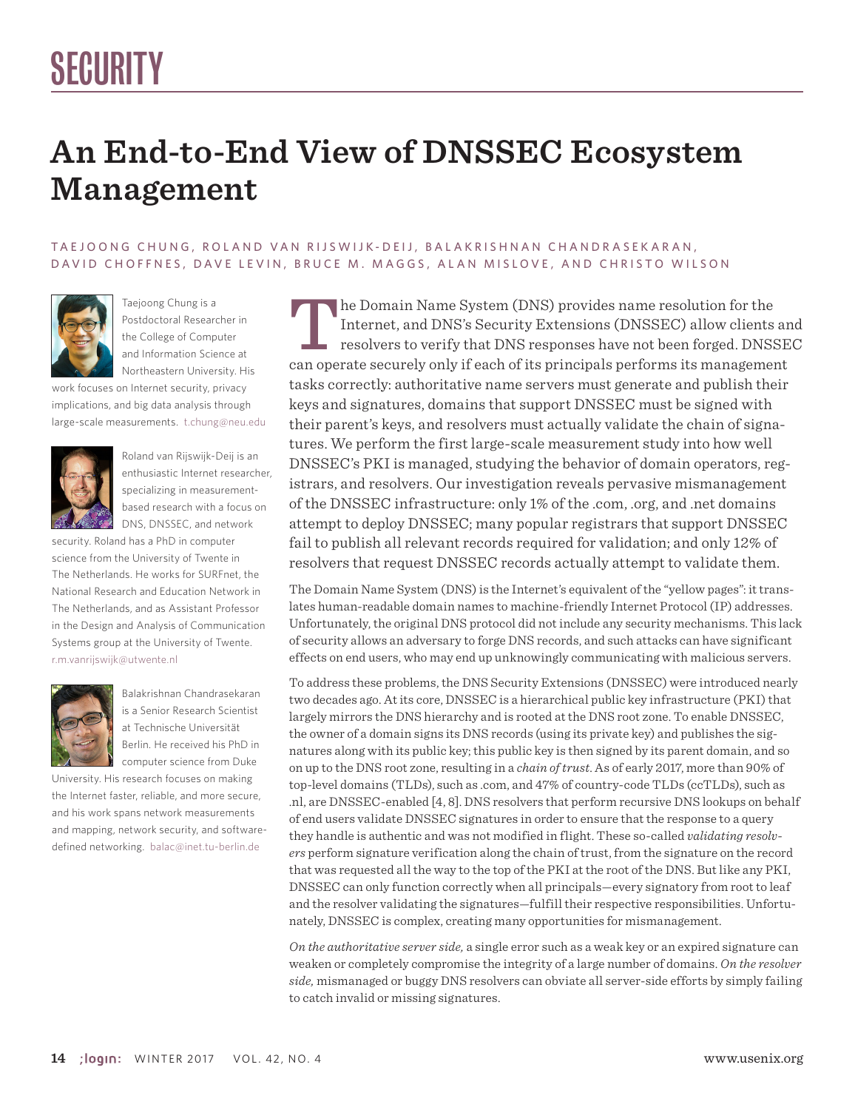## **An End-to-End View of DNSSEC Ecosystem Management**

#### TAEJOONG CHUNG, ROLAND VAN RIJSWIJK-DEIJ, BALAKRISHNAN CHANDRASEKARAN, DAVID CHOFFNES, DAVE LEVIN, BRUCE M. MAGGS, ALAN MISLOVE, AND CHRISTO WILSON



Taejoong Chung is a Postdoctoral Researcher in the College of Computer and Information Science at Northeastern University. His

work focuses on Internet security, privacy implications, and big data analysis through large-scale measurements. t.chung@neu.edu



Roland van Rijswijk-Deij is an enthusiastic Internet researcher, specializing in measurementbased research with a focus on DNS, DNSSEC, and network

security. Roland has a PhD in computer science from the University of Twente in The Netherlands. He works for SURFnet, the National Research and Education Network in The Netherlands, and as Assistant Professor in the Design and Analysis of Communication Systems group at the University of Twente. r.m.vanrijswijk@utwente.nl



Balakrishnan Chandrasekaran is a Senior Research Scientist at Technische Universität Berlin. He received his PhD in computer science from Duke

University. His research focuses on making the Internet faster, reliable, and more secure, and his work spans network measurements and mapping, network security, and softwaredefined networking. balac@inet.tu-berlin.de

The Domain Name System (DNS) provides name resolution for the Internet, and DNS's Security Extensions (DNSSEC) allow clients and resolvers to verify that DNS responses have not been forged. DNSSEC can operate securely only if each of its principals performs its management tasks correctly: authoritative name servers must generate and publish their keys and signatures, domains that support DNSSEC must be signed with their parent's keys, and resolvers must actually validate the chain of signatures. We perform the first large-scale measurement study into how well DNSSEC's PKI is managed, studying the behavior of domain operators, registrars, and resolvers. Our investigation reveals pervasive mismanagement of the DNSSEC infrastructure: only 1% of the .com, .org, and .net domains attempt to deploy DNSSEC; many popular registrars that support DNSSEC fail to publish all relevant records required for validation; and only 12% of resolvers that request DNSSEC records actually attempt to validate them.

The Domain Name System (DNS) is the Internet's equivalent of the "yellow pages": it translates human-readable domain names to machine-friendly Internet Protocol (IP) addresses. Unfortunately, the original DNS protocol did not include any security mechanisms. This lack of security allows an adversary to forge DNS records, and such attacks can have significant effects on end users, who may end up unknowingly communicating with malicious servers.

To address these problems, the DNS Security Extensions (DNSSEC) were introduced nearly two decades ago. At its core, DNSSEC is a hierarchical public key infrastructure (PKI) that largely mirrors the DNS hierarchy and is rooted at the DNS root zone. To enable DNSSEC, the owner of a domain signs its DNS records (using its private key) and publishes the signatures along with its public key; this public key is then signed by its parent domain, and so on up to the DNS root zone, resulting in a *chain of trust*. As of early 2017, more than 90% of top-level domains (TLDs), such as .com, and 47% of country-code TLDs (ccTLDs), such as .nl, are DNSSEC-enabled [4, 8]. DNS resolvers that perform recursive DNS lookups on behalf of end users validate DNSSEC signatures in order to ensure that the response to a query they handle is authentic and was not modified in flight. These so-called *validating resolvers* perform signature verification along the chain of trust, from the signature on the record that was requested all the way to the top of the PKI at the root of the DNS. But like any PKI, DNSSEC can only function correctly when all principals—every signatory from root to leaf and the resolver validating the signatures—fulfill their respective responsibilities. Unfortunately, DNSSEC is complex, creating many opportunities for mismanagement.

*On the authoritative server side,* a single error such as a weak key or an expired signature can weaken or completely compromise the integrity of a large number of domains. *On the resolver side,* mismanaged or buggy DNS resolvers can obviate all server-side efforts by simply failing to catch invalid or missing signatures.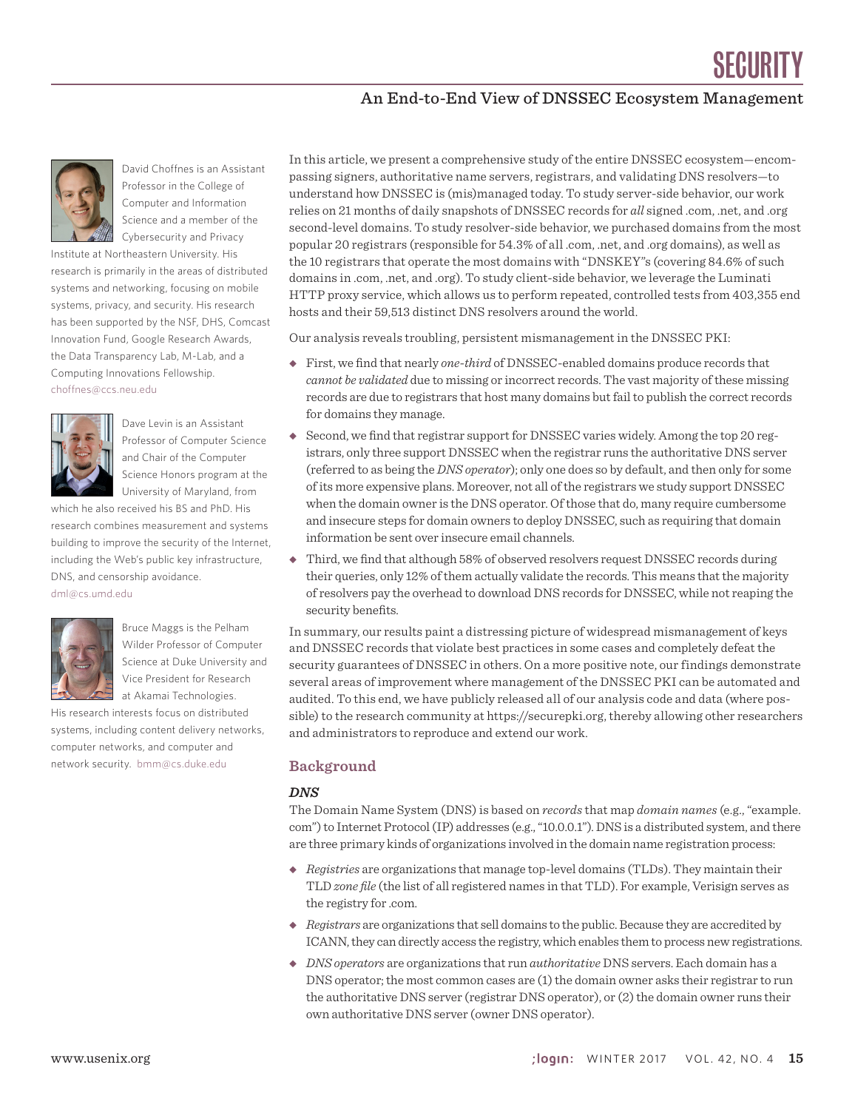### An End-to-End View of DNSSEC Ecosystem Management



David Choffnes is an Assistant Professor in the College of Computer and Information Science and a member of the Cybersecurity and Privacy

Institute at Northeastern University. His research is primarily in the areas of distributed systems and networking, focusing on mobile systems, privacy, and security. His research has been supported by the NSF, DHS, Comcast Innovation Fund, Google Research Awards, the Data Transparency Lab, M-Lab, and a Computing Innovations Fellowship. choffnes@ccs.neu.edu



Dave Levin is an Assistant Professor of Computer Science and Chair of the Computer Science Honors program at the University of Maryland, from

which he also received his BS and PhD. His research combines measurement and systems building to improve the security of the Internet, including the Web's public key infrastructure, DNS, and censorship avoidance. dml@cs.umd.edu



Bruce Maggs is the Pelham Wilder Professor of Computer Science at Duke University and Vice President for Research at Akamai Technologies.

His research interests focus on distributed systems, including content delivery networks, computer networks, and computer and network security. bmm@cs.duke.edu

In this article, we present a comprehensive study of the entire DNSSEC ecosystem—encompassing signers, authoritative name servers, registrars, and validating DNS resolvers—to understand how DNSSEC is (mis)managed today. To study server-side behavior, our work relies on 21 months of daily snapshots of DNSSEC records for *all* signed .com, .net, and .org second-level domains. To study resolver-side behavior, we purchased domains from the most popular 20 registrars (responsible for 54.3% of all .com, .net, and .org domains), as well as the 10 registrars that operate the most domains with "DNSKEY"s (covering 84.6% of such domains in .com, .net, and .org). To study client-side behavior, we leverage the Luminati HTTP proxy service, which allows us to perform repeated, controlled tests from 403,355 end hosts and their 59,513 distinct DNS resolvers around the world.

Our analysis reveals troubling, persistent mismanagement in the DNSSEC PKI:

- ◆ First, we find that nearly *one-third* of DNSSEC-enabled domains produce records that *cannot be validated* due to missing or incorrect records. The vast majority of these missing records are due to registrars that host many domains but fail to publish the correct records for domains they manage.
- ◆ Second, we find that registrar support for DNSSEC varies widely. Among the top 20 registrars, only three support DNSSEC when the registrar runs the authoritative DNS server (referred to as being the *DNS operator*); only one does so by default, and then only for some of its more expensive plans. Moreover, not all of the registrars we study support DNSSEC when the domain owner is the DNS operator. Of those that do, many require cumbersome and insecure steps for domain owners to deploy DNSSEC, such as requiring that domain information be sent over insecure email channels.
- ◆ Third, we find that although 58% of observed resolvers request DNSSEC records during their queries, only 12% of them actually validate the records. This means that the majority of resolvers pay the overhead to download DNS records for DNSSEC, while not reaping the security benefits.

In summary, our results paint a distressing picture of widespread mismanagement of keys and DNSSEC records that violate best practices in some cases and completely defeat the security guarantees of DNSSEC in others. On a more positive note, our findings demonstrate several areas of improvement where management of the DNSSEC PKI can be automated and audited. To this end, we have publicly released all of our analysis code and data (where possible) to the research community at https://securepki.org, thereby allowing other researchers and administrators to reproduce and extend our work.

#### **Background**

#### *DNS*

The Domain Name System (DNS) is based on *records* that map *domain names* (e.g., "example. com") to Internet Protocol (IP) addresses (e.g., "10.0.0.1"). DNS is a distributed system, and there are three primary kinds of organizations involved in the domain name registration process:

- ◆ *Registries* are organizations that manage top-level domains (TLDs). They maintain their TLD *zone file* (the list of all registered names in that TLD). For example, Verisign serves as the registry for .com.
- ◆ *Registrars* are organizations that sell domains to the public. Because they are accredited by ICANN, they can directly access the registry, which enables them to process new registrations.
- ◆ *DNS operators* are organizations that run *authoritative* DNS servers. Each domain has a DNS operator; the most common cases are (1) the domain owner asks their registrar to run the authoritative DNS server (registrar DNS operator), or (2) the domain owner runs their own authoritative DNS server (owner DNS operator).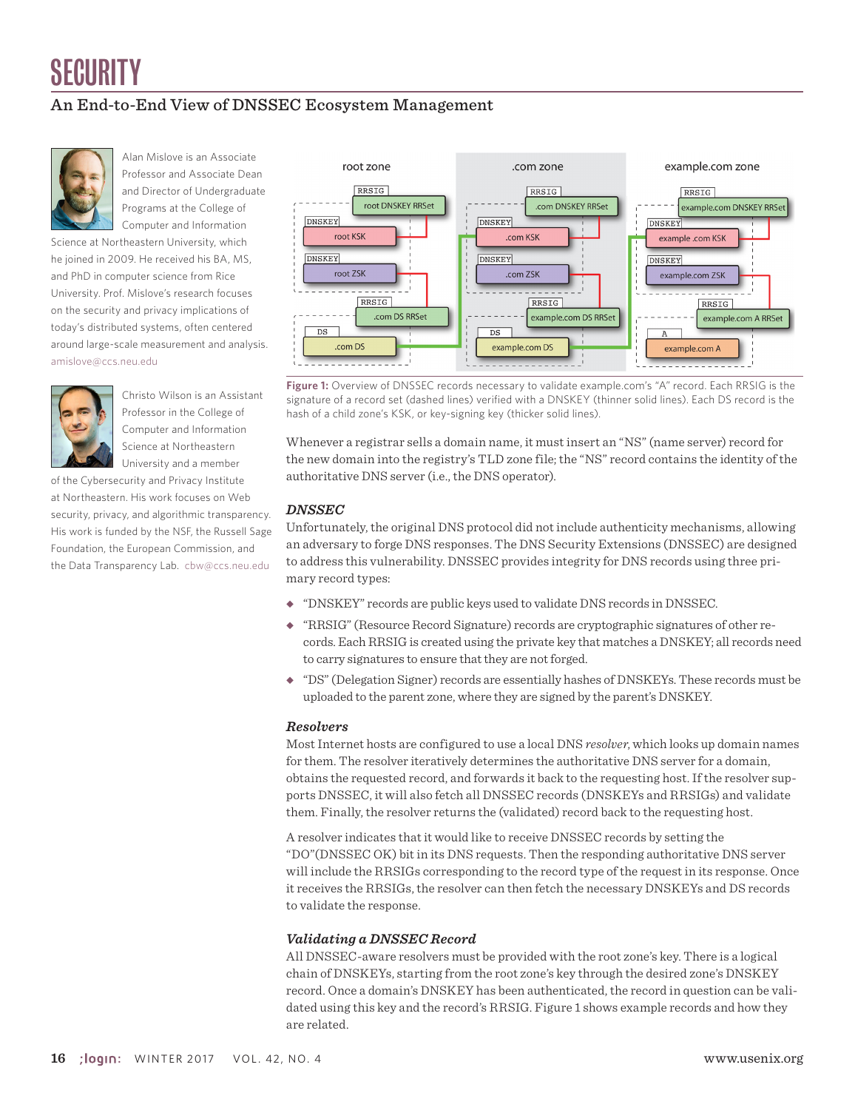## An End-to-End View of DNSSEC Ecosystem Management



Alan Mislove is an Associate Professor and Associate Dean and Director of Undergraduate Programs at the College of Computer and Information

Science at Northeastern University, which he joined in 2009. He received his BA, MS, and PhD in computer science from Rice University. Prof. Mislove's research focuses on the security and privacy implications of today's distributed systems, often centered around large-scale measurement and analysis. amislove@ccs.neu.edu



Christo Wilson is an Assistant Professor in the College of Computer and Information Science at Northeastern University and a member

of the Cybersecurity and Privacy Institute at Northeastern. His work focuses on Web security, privacy, and algorithmic transparency. His work is funded by the NSF, the Russell Sage Foundation, the European Commission, and the Data Transparency Lab. cbw@ccs.neu.edu



**Figure 1:** Overview of DNSSEC records necessary to validate example.com's "A" record. Each RRSIG is the signature of a record set (dashed lines) verified with a DNSKEY (thinner solid lines). Each DS record is the hash of a child zone's KSK, or key-signing key (thicker solid lines).

Whenever a registrar sells a domain name, it must insert an "NS" (name server) record for the new domain into the registry's TLD zone file; the "NS" record contains the identity of the authoritative DNS server (i.e., the DNS operator).

#### *DNSSEC*

Unfortunately, the original DNS protocol did not include authenticity mechanisms, allowing an adversary to forge DNS responses. The DNS Security Extensions (DNSSEC) are designed to address this vulnerability. DNSSEC provides integrity for DNS records using three primary record types:

- ◆ "DNSKEY" records are public keys used to validate DNS records in DNSSEC.
- ◆ "RRSIG" (Resource Record Signature) records are cryptographic signatures of other records. Each RRSIG is created using the private key that matches a DNSKEY; all records need to carry signatures to ensure that they are not forged.
- ◆ "DS" (Delegation Signer) records are essentially hashes of DNSKEYs. These records must be uploaded to the parent zone, where they are signed by the parent's DNSKEY.

#### *Resolvers*

Most Internet hosts are configured to use a local DNS *resolver*, which looks up domain names for them. The resolver iteratively determines the authoritative DNS server for a domain, obtains the requested record, and forwards it back to the requesting host. If the resolver supports DNSSEC, it will also fetch all DNSSEC records (DNSKEYs and RRSIGs) and validate them. Finally, the resolver returns the (validated) record back to the requesting host.

A resolver indicates that it would like to receive DNSSEC records by setting the "DO"(DNSSEC OK) bit in its DNS requests. Then the responding authoritative DNS server will include the RRSIGs corresponding to the record type of the request in its response. Once it receives the RRSIGs, the resolver can then fetch the necessary DNSKEYs and DS records to validate the response.

#### *Validating a DNSSEC Record*

All DNSSEC-aware resolvers must be provided with the root zone's key. There is a logical chain of DNSKEYs, starting from the root zone's key through the desired zone's DNSKEY record. Once a domain's DNSKEY has been authenticated, the record in question can be validated using this key and the record's RRSIG. Figure 1 shows example records and how they are related.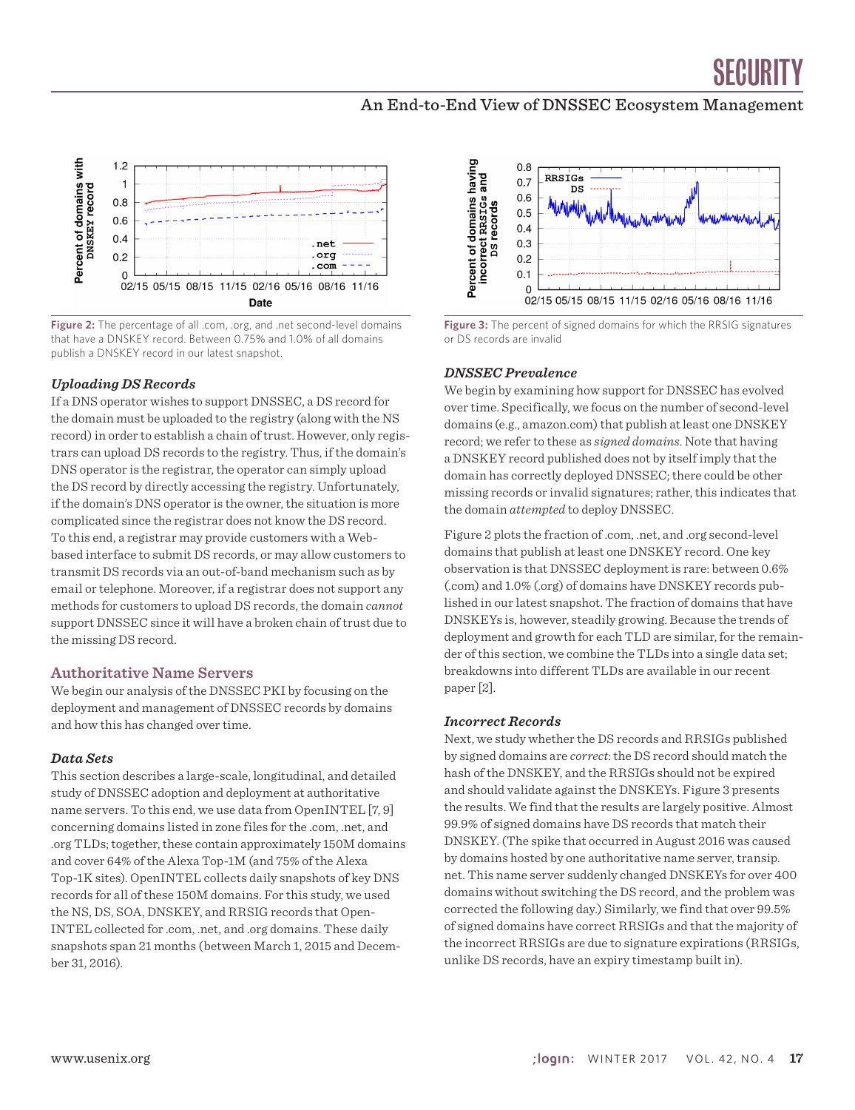



**Figure 2:** The percentage of all .com, .org, and .net second-level domains that have a DNSKEY record. Between 0.75% and 1.0% of all domains publish a DNSKEY record in our latest snapshot.

#### *Uploading DS Records*

If a DNS operator wishes to support DNSSEC, a DS record for the domain must be uploaded to the registry (along with the NS record) in order to establish a chain of trust. However, only registrars can upload DS records to the registry. Thus, if the domain's DNS operator is the registrar, the operator can simply upload the DS record by directly accessing the registry. Unfortunately, if the domain's DNS operator is the owner, the situation is more complicated since the registrar does not know the DS record. To this end, a registrar may provide customers with a Webbased interface to submit DS records, or may allow customers to transmit DS records via an out-of-band mechanism such as by email or telephone. Moreover, if a registrar does not support any methods for customers to upload DS records, the domain *cannot* support DNSSEC since it will have a broken chain of trust due to the missing DS record.

#### **Authoritative Name Servers**

We begin our analysis of the DNSSEC PKI by focusing on the deployment and management of DNSSEC records by domains and how this has changed over time.

#### *Data Sets*

This section describes a large-scale, longitudinal, and detailed study of DNSSEC adoption and deployment at authoritative name servers. To this end, we use data from OpenINTEL [7, 9] concerning domains listed in zone files for the .com, .net, and .org TLDs; together, these contain approximately 150M domains and cover 64% of the Alexa Top-1M (and 75% of the Alexa Top-1K sites). OpenINTEL collects daily snapshots of key DNS records for all of these 150M domains. For this study, we used the NS, DS, SOA, DNSKEY, and RRSIG records that Open-INTEL collected for .com, .net, and .org domains. These daily snapshots span 21 months (between March 1, 2015 and December 31, 2016).



**Figure 3:** The percent of signed domains for which the RRSIG signatures or DS records are invalid

#### *DNSSEC Prevalence*

We begin by examining how support for DNSSEC has evolved over time. Specifically, we focus on the number of second-level domains (e.g., amazon.com) that publish at least one DNSKEY record; we refer to these as *signed domains*. Note that having a DNSKEY record published does not by itself imply that the domain has correctly deployed DNSSEC; there could be other missing records or invalid signatures; rather, this indicates that the domain *attempted* to deploy DNSSEC.

Figure 2 plots the fraction of .com, .net, and .org second-level domains that publish at least one DNSKEY record. One key observation is that DNSSEC deployment is rare: between 0.6% (.com) and 1.0% (.org) of domains have DNSKEY records published in our latest snapshot. The fraction of domains that have DNSKEYs is, however, steadily growing. Because the trends of deployment and growth for each TLD are similar, for the remainder of this section, we combine the TLDs into a single data set; breakdowns into different TLDs are available in our recent paper [2].

#### *Incorrect Records*

Next, we study whether the DS records and RRSIGs published by signed domains are *correct*: the DS record should match the hash of the DNSKEY, and the RRSIGs should not be expired and should validate against the DNSKEYs. Figure 3 presents the results. We find that the results are largely positive. Almost 99.9% of signed domains have DS records that match their DNSKEY. (The spike that occurred in August 2016 was caused by domains hosted by one authoritative name server, transip. net. This name server suddenly changed DNSKEYs for over 400 domains without switching the DS record, and the problem was corrected the following day.) Similarly, we find that over 99.5% of signed domains have correct RRSIGs and that the majority of the incorrect RRSIGs are due to signature expirations (RRSIGs, unlike DS records, have an expiry timestamp built in).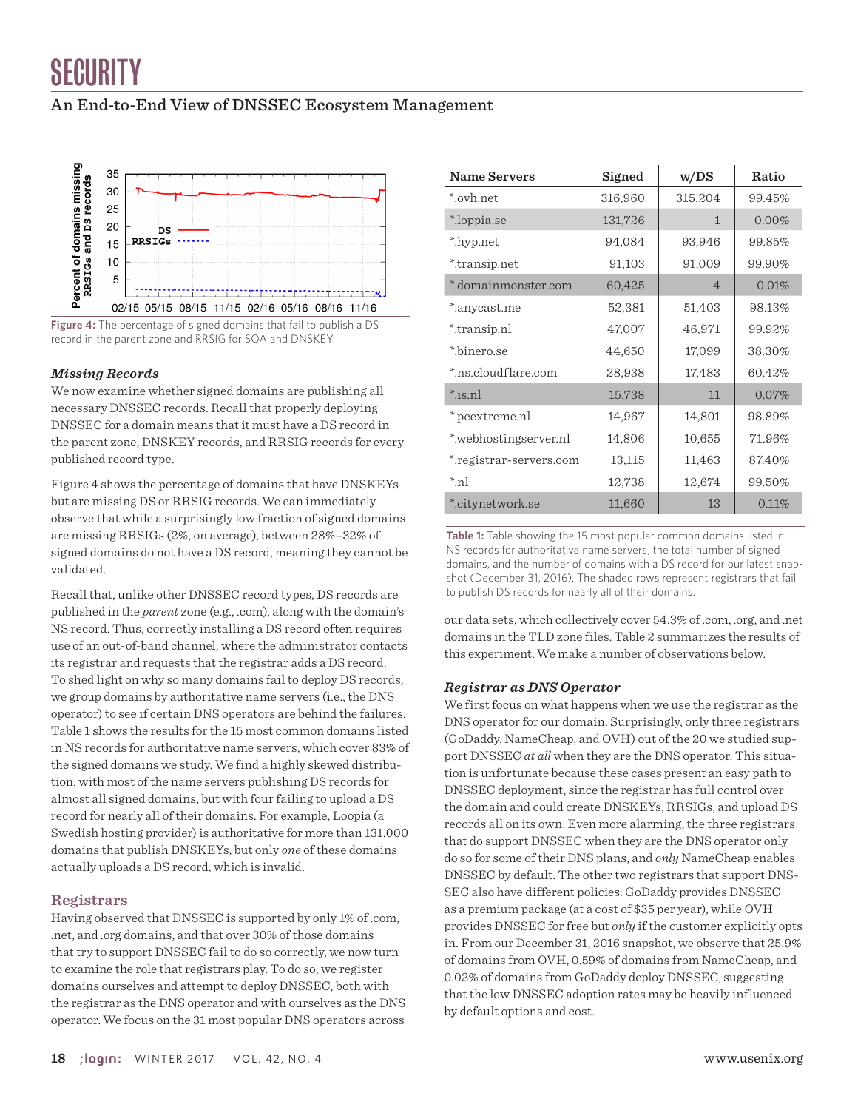### An End-to-End View of DNSSEC Ecosystem Management



**Figure 4:** The percentage of signed domains that fail to publish a DS record in the parent zone and RRSIG for SOA and DNSKEY

#### *Missing Records*

We now examine whether signed domains are publishing all necessary DNSSEC records. Recall that properly deploying DNSSEC for a domain means that it must have a DS record in the parent zone, DNSKEY records, and RRSIG records for every published record type.

Figure 4 shows the percentage of domains that have DNSKEYs but are missing DS or RRSIG records. We can immediately observe that while a surprisingly low fraction of signed domains are missing RRSIGs (2%, on average), between 28%–32% of signed domains do not have a DS record, meaning they cannot be validated.

Recall that, unlike other DNSSEC record types, DS records are published in the *parent* zone (e.g., .com), along with the domain's NS record. Thus, correctly installing a DS record often requires use of an out-of-band channel, where the administrator contacts its registrar and requests that the registrar adds a DS record. To shed light on why so many domains fail to deploy DS records, we group domains by authoritative name servers (i.e., the DNS operator) to see if certain DNS operators are behind the failures. Table 1 shows the results for the 15 most common domains listed in NS records for authoritative name servers, which cover 83% of the signed domains we study. We find a highly skewed distribution, with most of the name servers publishing DS records for almost all signed domains, but with four failing to upload a DS record for nearly all of their domains. For example, Loopia (a Swedish hosting provider) is authoritative for more than 131,000 domains that publish DNSKEYs, but only *one* of these domains actually uploads a DS record, which is invalid.

#### **Registrars**

Having observed that DNSSEC is supported by only 1% of .com, .net, and .org domains, and that over 30% of those domains that try to support DNSSEC fail to do so correctly, we now turn to examine the role that registrars play. To do so, we register domains ourselves and attempt to deploy DNSSEC, both with the registrar as the DNS operator and with ourselves as the DNS operator. We focus on the 31 most popular DNS operators across

| <b>Name Servers</b>     | Signed  | w/DS           | Ratio  |
|-------------------------|---------|----------------|--------|
| *.ovh.net               | 316,960 | 315,204        | 99.45% |
| *.loppia.se             | 131,726 | 1              | 0.00%  |
| *.hyp.net               | 94,084  | 93,946         | 99.85% |
| *.transip.net           | 91,103  | 91,009         | 99.90% |
| *.domainmonster.com     | 60,425  | $\overline{4}$ | 0.01%  |
| *.anycast.me            | 52,381  | 51,403         | 98.13% |
| *.transip.nl            | 47,007  | 46,971         | 99.92% |
| *.binero.se             | 44,650  | 17,099         | 38.30% |
| *.ns.cloudflare.com     | 28,938  | 17,483         | 60.42% |
| $*$ is.nl               | 15,738  | 11             | 0.07%  |
| *.pcextreme.nl          | 14,967  | 14,801         | 98.89% |
| *.webhostingserver.nl   | 14,806  | 10,655         | 71.96% |
| *.registrar-servers.com | 13,115  | 11,463         | 87.40% |
| $\pi$ n                 | 12,738  | 12,674         | 99.50% |
| *.citynetwork.se        | 11,660  | 13             | 0.11%  |

**Table 1:** Table showing the 15 most popular common domains listed in NS records for authoritative name servers, the total number of signed domains, and the number of domains with a DS record for our latest snapshot (December 31, 2016). The shaded rows represent registrars that fail to publish DS records for nearly all of their domains.

our data sets, which collectively cover 54.3% of .com, .org, and .net domains in the TLD zone files. Table 2 summarizes the results of this experiment. We make a number of observations below.

#### *Registrar as DNS Operator*

We first focus on what happens when we use the registrar as the DNS operator for our domain. Surprisingly, only three registrars (GoDaddy, NameCheap, and OVH) out of the 20 we studied support DNSSEC *at all* when they are the DNS operator. This situation is unfortunate because these cases present an easy path to DNSSEC deployment, since the registrar has full control over the domain and could create DNSKEYs, RRSIGs, and upload DS records all on its own. Even more alarming, the three registrars that do support DNSSEC when they are the DNS operator only do so for some of their DNS plans, and *only* NameCheap enables DNSSEC by default. The other two registrars that support DNS-SEC also have different policies: GoDaddy provides DNSSEC as a premium package (at a cost of \$35 per year), while OVH provides DNSSEC for free but *only* if the customer explicitly opts in. From our December 31, 2016 snapshot, we observe that 25.9% of domains from OVH, 0.59% of domains from NameCheap, and 0.02% of domains from GoDaddy deploy DNSSEC, suggesting that the low DNSSEC adoption rates may be heavily influenced by default options and cost.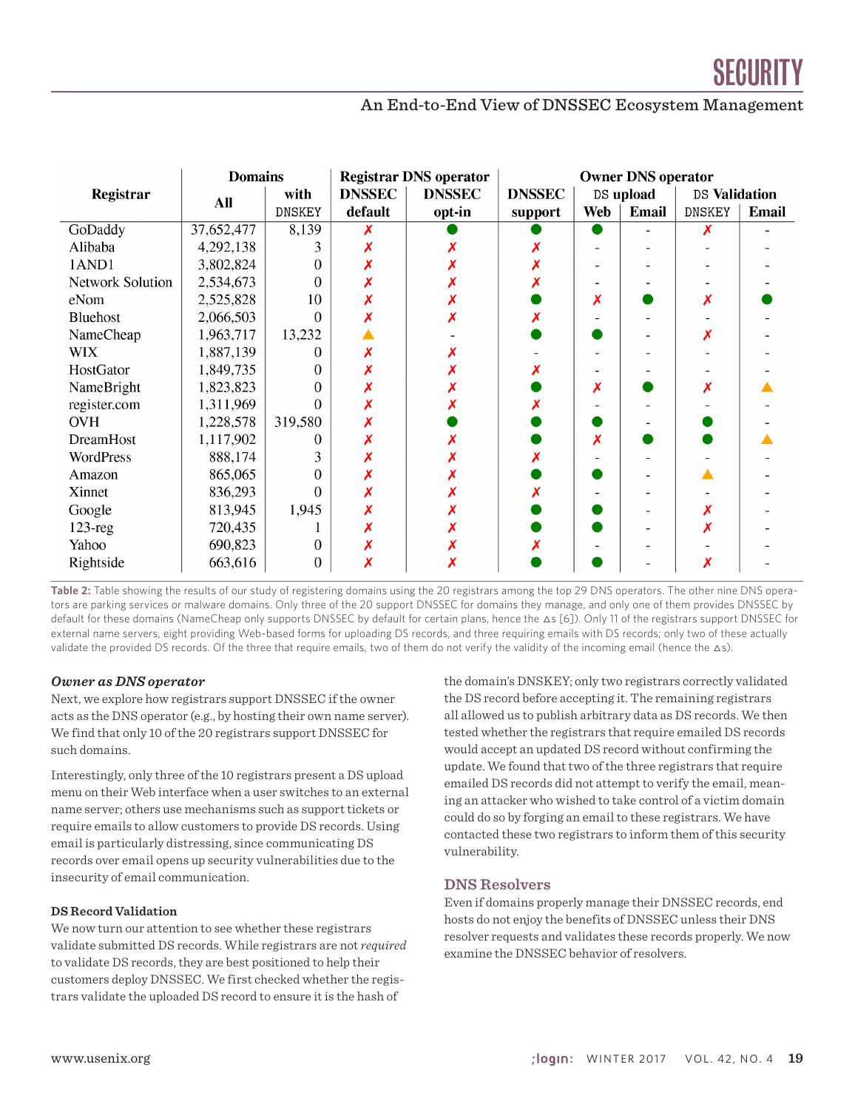

|                  | <b>Domains</b> |               | <b>Registrar DNS operator</b> |               | <b>Owner DNS operator</b> |     |              |               |              |
|------------------|----------------|---------------|-------------------------------|---------------|---------------------------|-----|--------------|---------------|--------------|
| Registrar        | <b>All</b>     | with          | <b>DNSSEC</b>                 | <b>DNSSEC</b> | <b>DNSSEC</b>             |     | DS upload    | DS Validation |              |
|                  |                | <b>DNSKEY</b> | default                       | opt-in        | support                   | Web | <b>Email</b> | <b>DNSKEY</b> | <b>Email</b> |
| GoDaddy          | 37,652,477     | 8,139         |                               |               |                           |     |              |               |              |
| Alibaba          | 4,292,138      | 3             |                               |               |                           |     |              |               |              |
| 1AND1            | 3,802,824      | $\Omega$      |                               |               |                           |     |              |               |              |
| Network Solution | 2,534,673      | $\Omega$      |                               |               |                           |     |              |               |              |
| eNom             | 2,525,828      | 10            |                               |               |                           | Х   |              | Х             |              |
| Bluehost         | 2,066,503      | $\Omega$      |                               |               |                           |     |              |               |              |
| NameCheap        | 1,963,717      | 13,232        |                               |               |                           |     |              |               |              |
| <b>WIX</b>       | 1,887,139      | 0             |                               |               |                           |     |              |               |              |
| HostGator        | 1,849,735      | $\Omega$      |                               |               |                           |     |              |               |              |
| NameBright       | 1,823,823      | $\theta$      |                               |               |                           | Х   |              |               |              |
| register.com     | 1,311,969      | $\theta$      |                               |               |                           |     |              |               |              |
| <b>OVH</b>       | 1,228,578      | 319,580       |                               |               |                           |     |              |               |              |
| DreamHost        | 1,117,902      | 0             |                               |               |                           | Х   |              |               |              |
| WordPress        | 888,174        | 3             |                               |               |                           |     |              |               |              |
| Amazon           | 865,065        | $\Omega$      |                               |               |                           |     |              |               |              |
| Xinnet           | 836,293        | $\Omega$      |                               |               |                           |     |              |               |              |
| Google           | 813,945        | 1,945         |                               |               |                           |     |              |               |              |
| $123$ -reg       | 720,435        |               |                               |               |                           |     |              |               |              |
| Yahoo            | 690,823        | $\theta$      |                               |               |                           |     |              |               |              |
| Rightside        | 663,616        | $\theta$      |                               |               |                           |     |              |               |              |

Table 2: Table showing the results of our study of registering domains using the 20 registrars among the top 29 DNS operators. The other nine DNS operators are parking services or malware domains. Only three of the 20 support DNSSEC for domains they manage, and only one of them provides DNSSEC by default for these domains (NameCheap only supports DNSSEC by default for certain plans, hence the ∆s [6]). Only 11 of the registrars support DNSSEC for external name servers, eight providing Web-based forms for uploading DS records, and three requiring emails with DS records; only two of these actually validate the provided DS records. Of the three that require emails, two of them do not verify the validity of the incoming email (hence the △s).

#### *Owner as DNS operator*

Next, we explore how registrars support DNSSEC if the owner acts as the DNS operator (e.g., by hosting their own name server). We find that only 10 of the 20 registrars support DNSSEC for such domains.

Interestingly, only three of the 10 registrars present a DS upload menu on their Web interface when a user switches to an external name server; others use mechanisms such as support tickets or require emails to allow customers to provide DS records. Using email is particularly distressing, since communicating DS records over email opens up security vulnerabilities due to the insecurity of email communication.

#### **DS Record Validation**

We now turn our attention to see whether these registrars validate submitted DS records. While registrars are not *required* to validate DS records, they are best positioned to help their customers deploy DNSSEC. We first checked whether the registrars validate the uploaded DS record to ensure it is the hash of

the domain's DNSKEY; only two registrars correctly validated the DS record before accepting it. The remaining registrars all allowed us to publish arbitrary data as DS records. We then tested whether the registrars that require emailed DS records would accept an updated DS record without confirming the update. We found that two of the three registrars that require emailed DS records did not attempt to verify the email, meaning an attacker who wished to take control of a victim domain could do so by forging an email to these registrars. We have contacted these two registrars to inform them of this security vulnerability.

#### **DNS Resolvers**

Even if domains properly manage their DNSSEC records, end hosts do not enjoy the benefits of DNSSEC unless their DNS resolver requests and validates these records properly. We now examine the DNSSEC behavior of resolvers.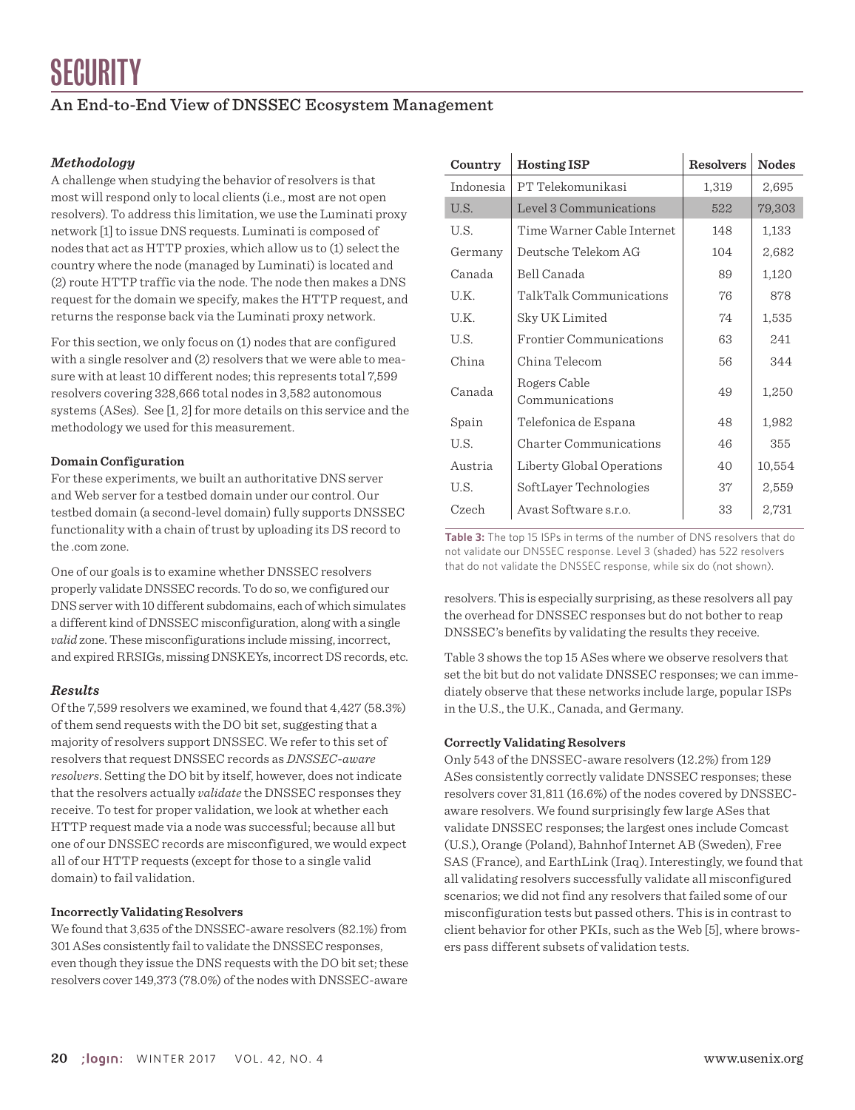#### *Methodology*

A challenge when studying the behavior of resolvers is that most will respond only to local clients (i.e., most are not open resolvers). To address this limitation, we use the Luminati proxy network [1] to issue DNS requests. Luminati is composed of nodes that act as HTTP proxies, which allow us to (1) select the country where the node (managed by Luminati) is located and (2) route HTTP traffic via the node. The node then makes a DNS request for the domain we specify, makes the HTTP request, and returns the response back via the Luminati proxy network.

For this section, we only focus on (1) nodes that are configured with a single resolver and (2) resolvers that we were able to measure with at least 10 different nodes; this represents total 7,599 resolvers covering 328,666 total nodes in 3,582 autonomous systems (ASes). See [1, 2] for more details on this service and the methodology we used for this measurement.

#### **Domain Configuration**

For these experiments, we built an authoritative DNS server and Web server for a testbed domain under our control. Our testbed domain (a second-level domain) fully supports DNSSEC functionality with a chain of trust by uploading its DS record to the .com zone.

One of our goals is to examine whether DNSSEC resolvers properly validate DNSSEC records. To do so, we configured our DNS server with 10 different subdomains, each of which simulates a different kind of DNSSEC misconfiguration, along with a single *valid* zone. These misconfigurations include missing, incorrect, and expired RRSIGs, missing DNSKEYs, incorrect DS records, etc*.*

#### *Results*

Of the 7,599 resolvers we examined, we found that 4,427 (58.3%) of them send requests with the DO bit set, suggesting that a majority of resolvers support DNSSEC. We refer to this set of resolvers that request DNSSEC records as *DNSSEC-aware resolvers*. Setting the DO bit by itself, however, does not indicate that the resolvers actually *validate* the DNSSEC responses they receive. To test for proper validation, we look at whether each HTTP request made via a node was successful; because all but one of our DNSSEC records are misconfigured, we would expect all of our HTTP requests (except for those to a single valid domain) to fail validation.

#### **Incorrectly Validating Resolvers**

We found that 3,635 of the DNSSEC-aware resolvers (82.1%) from 301 ASes consistently fail to validate the DNSSEC responses, even though they issue the DNS requests with the DO bit set; these resolvers cover 149,373 (78.0%) of the nodes with DNSSEC-aware

| Country   | <b>Hosting ISP</b>             | <b>Resolvers</b> | <b>Nodes</b> |  |
|-----------|--------------------------------|------------------|--------------|--|
| Indonesia | PT Telekomunikasi              | 1,319            | 2,695        |  |
| U.S.      | Level 3 Communications         | 522              | 79,303       |  |
| U.S.      | Time Warner Cable Internet     | 148              | 1,133        |  |
| Germany   | Deutsche Telekom AG            | 104              | 2,682        |  |
| Canada    | Bell Canada                    | 89               | 1,120        |  |
| U.K.      | TalkTalk Communications        | 76               | 878          |  |
| U.K.      | Sky UK Limited                 | 74               | 1,535        |  |
| U.S.      | Frontier Communications        | 63               | 241          |  |
| China     | China Telecom                  | 56               | 344          |  |
| Canada    | Rogers Cable<br>Communications | 49               | 1,250        |  |
| Spain     | Telefonica de Espana           | 48               | 1,982        |  |
| U.S.      | Charter Communications         | 46               | 355          |  |
| Austria   | Liberty Global Operations      | 40               | 10,554       |  |
| U.S.      | SoftLayer Technologies         | 37               | 2,559        |  |
| Czech     | Avast Software s.r.o.          | 33               | 2,731        |  |

**Table 3:** The top 15 ISPs in terms of the number of DNS resolvers that do not validate our DNSSEC response. Level 3 (shaded) has 522 resolvers that do not validate the DNSSEC response, while six do (not shown).

resolvers. This is especially surprising, as these resolvers all pay the overhead for DNSSEC responses but do not bother to reap DNSSEC's benefits by validating the results they receive.

Table 3 shows the top 15 ASes where we observe resolvers that set the bit but do not validate DNSSEC responses; we can immediately observe that these networks include large, popular ISPs in the U.S., the U.K., Canada, and Germany.

#### **Correctly Validating Resolvers**

Only 543 of the DNSSEC-aware resolvers (12.2%) from 129 ASes consistently correctly validate DNSSEC responses; these resolvers cover 31,811 (16.6%) of the nodes covered by DNSSECaware resolvers. We found surprisingly few large ASes that validate DNSSEC responses; the largest ones include Comcast (U.S.), Orange (Poland), Bahnhof Internet AB (Sweden), Free SAS (France), and EarthLink (Iraq). Interestingly, we found that all validating resolvers successfully validate all misconfigured scenarios; we did not find any resolvers that failed some of our misconfiguration tests but passed others. This is in contrast to client behavior for other PKIs, such as the Web [5], where browsers pass different subsets of validation tests.